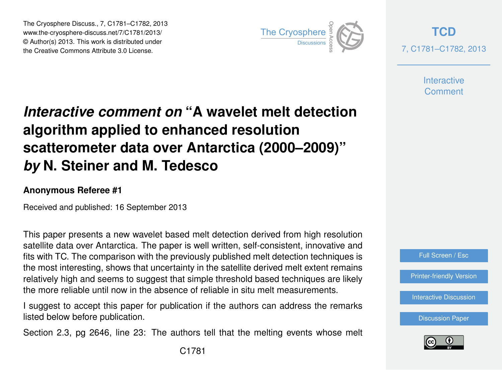The Cryosphere Discuss., 7, C1781–C1782, 2013 www.the-cryosphere-discuss.net/7/C1781/2013/ www.the-cryosphere-discuss.het///C1761/2013/<br>© Author(s) 2013. This work is distributed under the Creative Commons Attribute 3.0 License.



**[TCD](http://www.the-cryosphere-discuss.net)** 7, C1781–C1782, 2013

> **Interactive Comment**

## *Interactive comment on* **"A wavelet melt detection algorithm applied to enhanced resolution scatterometer data over Antarctica (2000–2009)"** *by* **N. Steiner and M. Tedesco**

## **Anonymous Referee #1**

Received and published: 16 September 2013

This paper presents a new wavelet based melt detection derived from high resolution satellite data over Antarctica. The paper is well written, self-consistent, innovative and fits with TC. The comparison with the previously published melt detection techniques is the most interesting, shows that uncertainty in the satellite derived melt extent remains relatively high and seems to suggest that simple threshold based techniques are likely the more reliable until now in the absence of reliable in situ melt measurements.

I suggest to accept this paper for publication if the authors can address the remarks listed below before publication.

Section 2.3, pg 2646, line 23: The authors tell that the melting events whose melt

Full Screen / Esc

[Printer-friendly Version](http://www.the-cryosphere-discuss.net/7/C1781/2013/tcd-7-C1781-2013-print.pdf)

[Interactive Discussion](http://www.the-cryosphere-discuss.net/7/2635/2013/tcd-7-2635-2013-discussion.html)

[Discussion Paper](http://www.the-cryosphere-discuss.net/7/2635/2013/tcd-7-2635-2013.pdf)